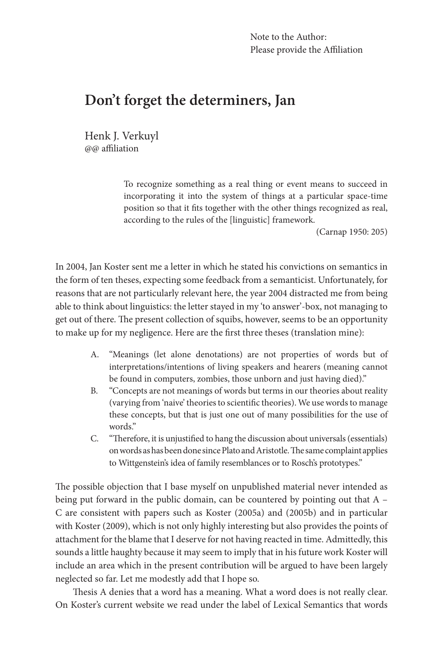## **Don't forget the determiners, Jan**

Henk J. Verkuyl @@ affiliation

> To recognize something as a real thing or event means to succeed in incorporating it into the system of things at a particular space-time position so that it fits together with the other things recognized as real, according to the rules of the [linguistic] framework.

> > (Carnap 1950: 205)

In 2004, Jan Koster sent me a letter in which he stated his convictions on semantics in the form of ten theses, expecting some feedback from a semanticist. Unfortunately, for reasons that are not particularly relevant here, the year 2004 distracted me from being able to think about linguistics: the letter stayed in my 'to answer'-box, not managing to get out of there. The present collection of squibs, however, seems to be an opportunity to make up for my negligence. Here are the first three theses (translation mine):

- A. "Meanings (let alone denotations) are not properties of words but of interpretations/intentions of living speakers and hearers (meaning cannot be found in computers, zombies, those unborn and just having died)."
- B. "Concepts are not meanings of words but terms in our theories about reality (varying from 'naive' theories to scientific theories). We use words to manage these concepts, but that is just one out of many possibilities for the use of words."
- C. "Therefore, it is unjustified to hang the discussion about universals (essentials) on words as has been done since Plato and Aristotle. The same complaint applies to Wittgenstein's idea of family resemblances or to Rosch's prototypes."

The possible objection that I base myself on unpublished material never intended as being put forward in the public domain, can be countered by pointing out that A – C are consistent with papers such as Koster (2005a) and (2005b) and in particular with Koster (2009), which is not only highly interesting but also provides the points of attachment for the blame that I deserve for not having reacted in time. Admittedly, this sounds a little haughty because it may seem to imply that in his future work Koster will include an area which in the present contribution will be argued to have been largely neglected so far. Let me modestly add that I hope so.

Thesis A denies that a word has a meaning. What a word does is not really clear. On Koster's current website we read under the label of Lexical Semantics that words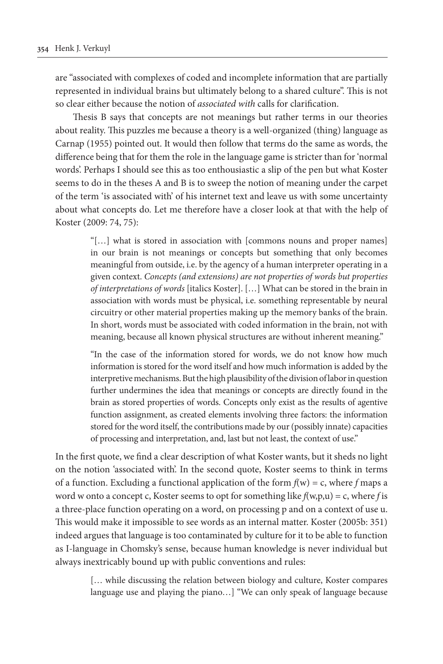are "associated with complexes of coded and incomplete information that are partially represented in individual brains but ultimately belong to a shared culture". This is not so clear either because the notion of *associated with* calls for clarification.

Thesis B says that concepts are not meanings but rather terms in our theories about reality. This puzzles me because a theory is a well-organized (thing) language as Carnap (1955) pointed out. It would then follow that terms do the same as words, the difference being that for them the role in the language game is stricter than for 'normal words'. Perhaps I should see this as too enthousiastic a slip of the pen but what Koster seems to do in the theses A and B is to sweep the notion of meaning under the carpet of the term 'is associated with' of his internet text and leave us with some uncertainty about what concepts do. Let me therefore have a closer look at that with the help of Koster (2009: 74, 75):

> "[…] what is stored in association with [commons nouns and proper names] in our brain is not meanings or concepts but something that only becomes meaningful from outside, i.e. by the agency of a human interpreter operating in a given context. *Concepts (and extensions) are not properties of words but properties of interpretations of words* [italics Koster]. […] What can be stored in the brain in association with words must be physical, i.e. something representable by neural circuitry or other material properties making up the memory banks of the brain. In short, words must be associated with coded information in the brain, not with meaning, because all known physical structures are without inherent meaning."

> "In the case of the information stored for words, we do not know how much information is stored for the word itself and how much information is added by the interpretive mechanisms. But the high plausibility of the division of labor in question further undermines the idea that meanings or concepts are directly found in the brain as stored properties of words. Concepts only exist as the results of agentive function assignment, as created elements involving three factors: the information stored for the word itself, the contributions made by our (possibly innate) capacities of processing and interpretation, and, last but not least, the context of use."

In the first quote, we find a clear description of what Koster wants, but it sheds no light on the notion 'associated with'. In the second quote, Koster seems to think in terms of a function. Excluding a functional application of the form  $f(w) = c$ , where *f* maps a word w onto a concept c, Koster seems to opt for something like *f*(w,p,u) = c, where *f* is a three-place function operating on a word, on processing p and on a context of use u. This would make it impossible to see words as an internal matter. Koster (2005b: 351) indeed argues that language is too contaminated by culture for it to be able to function as I-language in Chomsky's sense, because human knowledge is never individual but always inextricably bound up with public conventions and rules:

> [… while discussing the relation between biology and culture, Koster compares language use and playing the piano…] "We can only speak of language because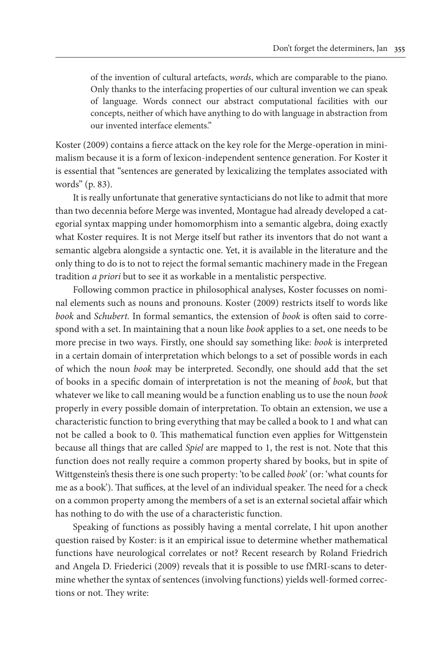of the invention of cultural artefacts, *words*, which are comparable to the piano. Only thanks to the interfacing properties of our cultural invention we can speak of language. Words connect our abstract computational facilities with our concepts, neither of which have anything to do with language in abstraction from our invented interface elements."

Koster (2009) contains a fierce attack on the key role for the Merge-operation in minimalism because it is a form of lexicon-independent sentence generation. For Koster it is essential that "sentences are generated by lexicalizing the templates associated with words" (p. 83).

It is really unfortunate that generative syntacticians do not like to admit that more than two decennia before Merge was invented, Montague had already developed a categorial syntax mapping under homomorphism into a semantic algebra, doing exactly what Koster requires. It is not Merge itself but rather its inventors that do not want a semantic algebra alongside a syntactic one. Yet, it is available in the literature and the only thing to do is to not to reject the formal semantic machinery made in the Fregean tradition *a priori* but to see it as workable in a mentalistic perspective.

Following common practice in philosophical analyses, Koster focusses on nominal elements such as nouns and pronouns. Koster (2009) restricts itself to words like *book* and *Schubert.* In formal semantics, the extension of *book* is often said to correspond with a set. In maintaining that a noun like *book* applies to a set, one needs to be more precise in two ways. Firstly, one should say something like: *book* is interpreted in a certain domain of interpretation which belongs to a set of possible words in each of which the noun *book* may be interpreted. Secondly, one should add that the set of books in a specific domain of interpretation is not the meaning of *book*, but that whatever we like to call meaning would be a function enabling us to use the noun *book* properly in every possible domain of interpretation. To obtain an extension, we use a characteristic function to bring everything that may be called a book to 1 and what can not be called a book to 0. This mathematical function even applies for Wittgenstein because all things that are called *Spiel* are mapped to 1, the rest is not. Note that this function does not really require a common property shared by books, but in spite of Wittgenstein's thesis there is one such property: 'to be called *book*' (or: 'what counts for me as a book'). That suffices, at the level of an individual speaker. The need for a check on a common property among the members of a set is an external societal affair which has nothing to do with the use of a characteristic function.

Speaking of functions as possibly having a mental correlate, I hit upon another question raised by Koster: is it an empirical issue to determine whether mathematical functions have neurological correlates or not? Recent research by Roland Friedrich and Angela D. Friederici (2009) reveals that it is possible to use fMRI-scans to determine whether the syntax of sentences (involving functions) yields well-formed corrections or not. They write: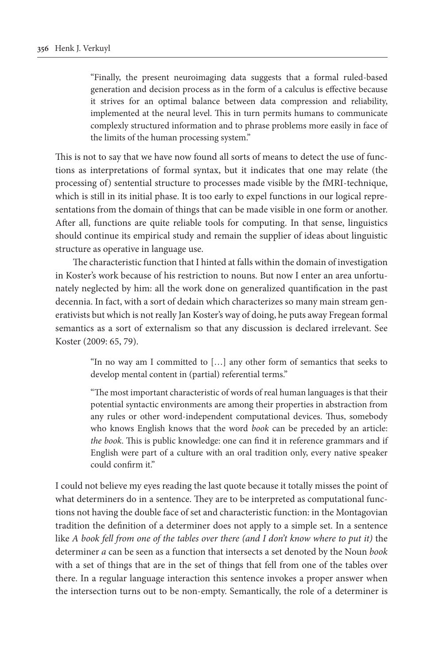"Finally, the present neuroimaging data suggests that a formal ruled-based generation and decision process as in the form of a calculus is effective because it strives for an optimal balance between data compression and reliability, implemented at the neural level. This in turn permits humans to communicate complexly structured information and to phrase problems more easily in face of the limits of the human processing system."

This is not to say that we have now found all sorts of means to detect the use of functions as interpretations of formal syntax, but it indicates that one may relate (the processing of) sentential structure to processes made visible by the fMRI-technique, which is still in its initial phase. It is too early to expel functions in our logical representations from the domain of things that can be made visible in one form or another. After all, functions are quite reliable tools for computing. In that sense, linguistics should continue its empirical study and remain the supplier of ideas about linguistic structure as operative in language use.

The characteristic function that I hinted at falls within the domain of investigation in Koster's work because of his restriction to nouns. But now I enter an area unfortunately neglected by him: all the work done on generalized quantification in the past decennia. In fact, with a sort of dedain which characterizes so many main stream generativists but which is not really Jan Koster's way of doing, he puts away Fregean formal semantics as a sort of externalism so that any discussion is declared irrelevant. See Koster (2009: 65, 79).

> "In no way am I committed to […] any other form of semantics that seeks to develop mental content in (partial) referential terms."

> "The most important characteristic of words of real human languages is that their potential syntactic environments are among their properties in abstraction from any rules or other word-independent computational devices. Thus, somebody who knows English knows that the word *book* can be preceded by an article: *the book*. This is public knowledge: one can find it in reference grammars and if English were part of a culture with an oral tradition only, every native speaker could confirm it."

I could not believe my eyes reading the last quote because it totally misses the point of what determiners do in a sentence. They are to be interpreted as computational functions not having the double face of set and characteristic function: in the Montagovian tradition the definition of a determiner does not apply to a simple set. In a sentence like *A book fell from one of the tables over there (and I don't know where to put it)* the determiner *a* can be seen as a function that intersects a set denoted by the Noun *book* with a set of things that are in the set of things that fell from one of the tables over there. In a regular language interaction this sentence invokes a proper answer when the intersection turns out to be non-empty. Semantically, the role of a determiner is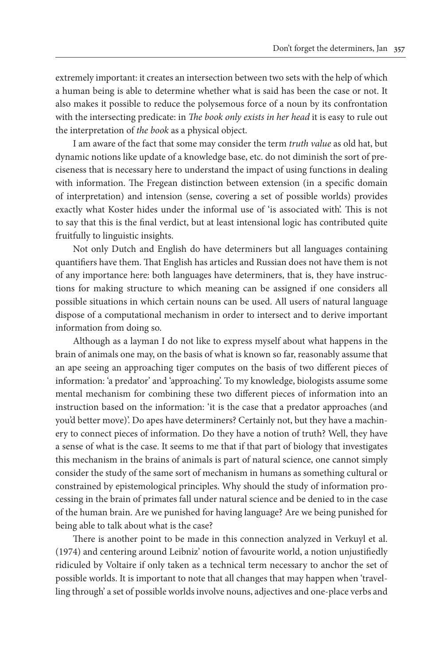extremely important: it creates an intersection between two sets with the help of which a human being is able to determine whether what is said has been the case or not. It also makes it possible to reduce the polysemous force of a noun by its confrontation with the intersecting predicate: in *The book only exists in her head* it is easy to rule out the interpretation of *the book* as a physical object.

I am aware of the fact that some may consider the term *truth value* as old hat, but dynamic notions like update of a knowledge base, etc. do not diminish the sort of preciseness that is necessary here to understand the impact of using functions in dealing with information. The Fregean distinction between extension (in a specific domain of interpretation) and intension (sense, covering a set of possible worlds) provides exactly what Koster hides under the informal use of 'is associated with'. This is not to say that this is the final verdict, but at least intensional logic has contributed quite fruitfully to linguistic insights.

Not only Dutch and English do have determiners but all languages containing quantifiers have them. That English has articles and Russian does not have them is not of any importance here: both languages have determiners, that is, they have instructions for making structure to which meaning can be assigned if one considers all possible situations in which certain nouns can be used. All users of natural language dispose of a computational mechanism in order to intersect and to derive important information from doing so.

Although as a layman I do not like to express myself about what happens in the brain of animals one may, on the basis of what is known so far, reasonably assume that an ape seeing an approaching tiger computes on the basis of two different pieces of information: 'a predator' and 'approaching'. To my knowledge, biologists assume some mental mechanism for combining these two different pieces of information into an instruction based on the information: 'it is the case that a predator approaches (and you'd better move)'. Do apes have determiners? Certainly not, but they have a machinery to connect pieces of information. Do they have a notion of truth? Well, they have a sense of what is the case. It seems to me that if that part of biology that investigates this mechanism in the brains of animals is part of natural science, one cannot simply consider the study of the same sort of mechanism in humans as something cultural or constrained by epistemological principles. Why should the study of information processing in the brain of primates fall under natural science and be denied to in the case of the human brain. Are we punished for having language? Are we being punished for being able to talk about what is the case?

There is another point to be made in this connection analyzed in Verkuyl et al. (1974) and centering around Leibniz' notion of favourite world, a notion unjustifiedly ridiculed by Voltaire if only taken as a technical term necessary to anchor the set of possible worlds. It is important to note that all changes that may happen when 'travelling through' a set of possible worlds involve nouns, adjectives and one-place verbs and